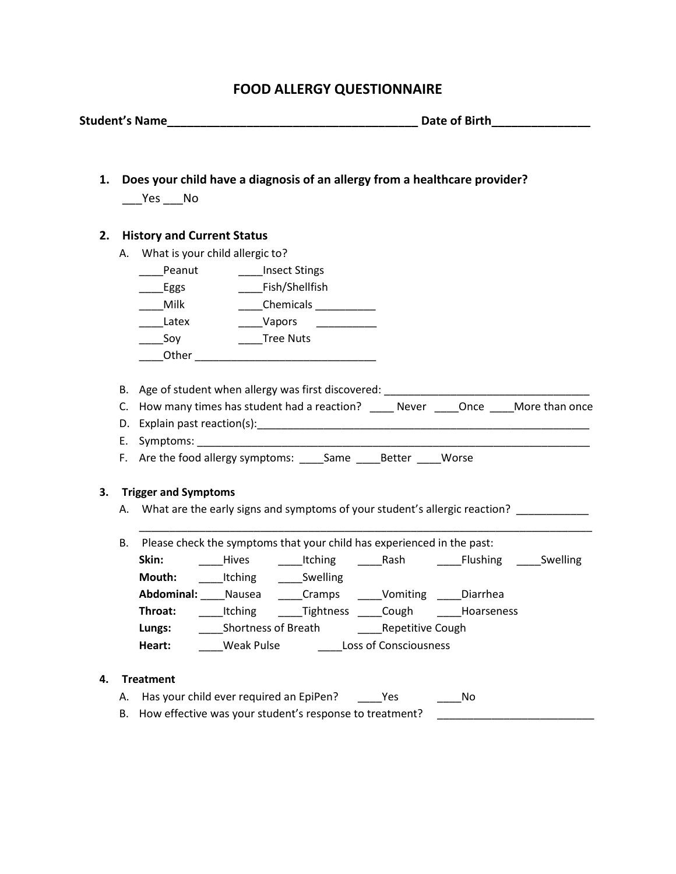## **FOOD ALLERGY QUESTIONNAIRE**

**Student's Name\_\_\_\_\_\_\_\_\_\_\_\_\_\_\_\_\_\_\_\_\_\_\_\_\_\_\_\_\_\_\_\_\_\_\_\_\_\_ Date of Birth\_\_\_\_\_\_\_\_\_\_\_\_\_\_\_**

|                                                                                         | Yes ____ No                        |                               |                                                                                                                      |                              |                                                                               |  |
|-----------------------------------------------------------------------------------------|------------------------------------|-------------------------------|----------------------------------------------------------------------------------------------------------------------|------------------------------|-------------------------------------------------------------------------------|--|
| 2.                                                                                      | <b>History and Current Status</b>  |                               |                                                                                                                      |                              |                                                                               |  |
|                                                                                         | A. What is your child allergic to? |                               |                                                                                                                      |                              |                                                                               |  |
|                                                                                         |                                    | Peanut _______Insect Stings   |                                                                                                                      |                              |                                                                               |  |
|                                                                                         | Eggs                               |                               | Fish/Shellfish                                                                                                       |                              |                                                                               |  |
|                                                                                         | Milk                               |                               | ______Chemicals ____________                                                                                         |                              |                                                                               |  |
|                                                                                         | <b>Latex</b>                       | Vapors                        | <u> 1980 - Jan Jan Jawa Barat, president de la propincia de la propincia de la propincia de la propincia de la p</u> |                              |                                                                               |  |
|                                                                                         | Soy                                | <b>Tree Nuts</b>              |                                                                                                                      |                              |                                                                               |  |
|                                                                                         |                                    |                               | Other <b>Commission Commission Commission</b>                                                                        |                              |                                                                               |  |
|                                                                                         |                                    |                               |                                                                                                                      |                              |                                                                               |  |
|                                                                                         |                                    |                               |                                                                                                                      |                              |                                                                               |  |
| C. How many times has student had a reaction? _____ Never _____Once _____More than once |                                    |                               |                                                                                                                      |                              |                                                                               |  |
|                                                                                         |                                    |                               |                                                                                                                      |                              |                                                                               |  |
|                                                                                         |                                    |                               |                                                                                                                      |                              |                                                                               |  |
|                                                                                         |                                    |                               |                                                                                                                      |                              |                                                                               |  |
|                                                                                         |                                    |                               | F. Are the food allergy symptoms: _____Same _____Better ____ Worse                                                   |                              |                                                                               |  |
|                                                                                         |                                    |                               |                                                                                                                      |                              |                                                                               |  |
|                                                                                         | <b>Trigger and Symptoms</b>        |                               |                                                                                                                      |                              |                                                                               |  |
|                                                                                         |                                    |                               |                                                                                                                      |                              | A. What are the early signs and symptoms of your student's allergic reaction? |  |
| 3.<br>В.                                                                                |                                    |                               | Please check the symptoms that your child has experienced in the past:                                               |                              |                                                                               |  |
|                                                                                         | Skin:                              |                               |                                                                                                                      |                              |                                                                               |  |
|                                                                                         | Mouth:                             |                               |                                                                                                                      |                              | Hives Itching Rash Flushing Swelling                                          |  |
|                                                                                         |                                    | ______Itching _______Swelling |                                                                                                                      |                              |                                                                               |  |
|                                                                                         | Throat:                            |                               | Abdominal: Nausea Cramps _ Vomiting Diarrhea                                                                         |                              |                                                                               |  |
|                                                                                         |                                    |                               |                                                                                                                      |                              | ____Itching _____Tightness ____Cough _____Hoarseness                          |  |
|                                                                                         | Lungs:<br>Heart:                   | Weak Pulse                    | Shortness of Breath <b>Repetitive Cough</b>                                                                          | <b>Loss of Consciousness</b> |                                                                               |  |